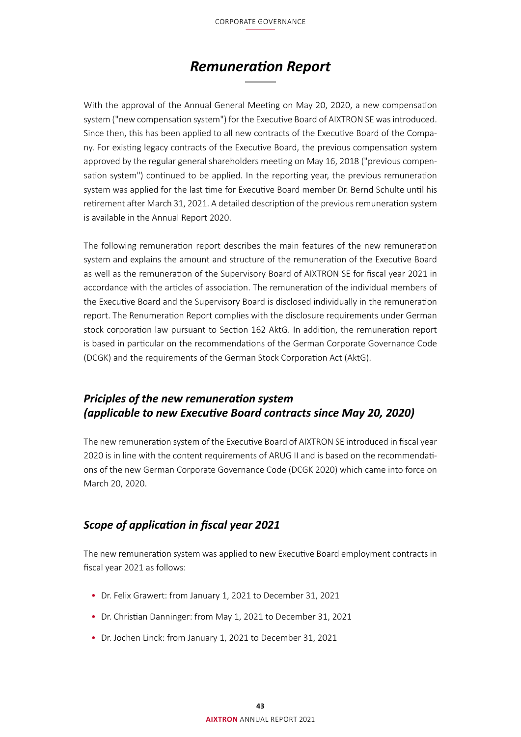# *Remuneration Report*

With the approval of the Annual General Meeting on May 20, 2020, a new compensation system ("new compensation system") for the Executive Board of AIXTRON SE was introduced. Since then, this has been applied to all new contracts of the Executive Board of the Company. For existing legacy contracts of the Executive Board, the previous compensation system approved by the regular general shareholders meeting on May 16, 2018 ("previous compensation system") continued to be applied. In the reporting year, the previous remuneration system was applied for the last time for Executive Board member Dr. Bernd Schulte until his retirement after March 31, 2021. A detailed description of the previous remuneration system is available in the Annual Report 2020.

The following remuneration report describes the main features of the new remuneration system and explains the amount and structure of the remuneration of the Executive Board as well as the remuneration of the Supervisory Board of AIXTRON SE for fiscal year 2021 in accordance with the articles of association. The remuneration of the individual members of the Executive Board and the Supervisory Board is disclosed individually in the remuneration report. The Renumeration Report complies with the disclosure requirements under German stock corporation law pursuant to Section 162 AktG. In addition, the remuneration report is based in particular on the recommendations of the German Corporate Governance Code (DCGK) and the requirements of the German Stock Corporation Act (AktG).

# *Priciples of the new remuneration system (applicable to new Executive Board contracts since May 20, 2020)*

The new remuneration system of the Executive Board of AIXTRON SE introduced in fiscal year 2020 is in line with the content requirements of ARUG II and is based on the recommendations of the new German Corporate Governance Code (DCGK 2020) which came into force on March 20, 2020.

# *Scope of application in fiscal year 2021*

The new remuneration system was applied to new Executive Board employment contracts in fiscal year 2021 as follows:

- Dr. Felix Grawert: from January 1, 2021 to December 31, 2021
- Dr. Christian Danninger: from May 1, 2021 to December 31, 2021
- Dr. Jochen Linck: from January 1, 2021 to December 31, 2021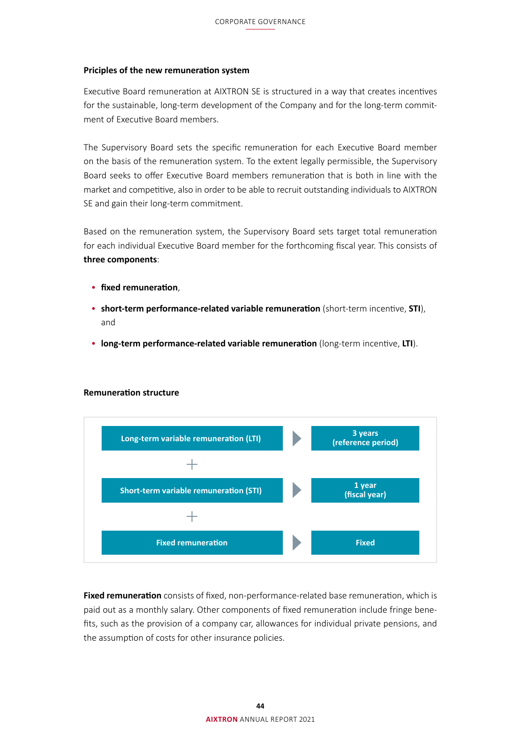## **Priciples of the new remuneration system**

Executive Board remuneration at AIXTRON SE is structured in a way that creates incentives for the sustainable, long-term development of the Company and for the long-term commitment of Executive Board members.

The Supervisory Board sets the specific remuneration for each Executive Board member on the basis of the remuneration system. To the extent legally permissible, the Supervisory Board seeks to offer Executive Board members remuneration that is both in line with the market and competitive, also in order to be able to recruit outstanding individuals to AIXTRON SE and gain their long-term commitment.

Based on the remuneration system, the Supervisory Board sets target total remuneration for each individual Executive Board member for the forthcoming fiscal year. This consists of **three components**:

- **fixed remuneration**,
- **short-term performance-related variable remuneration** (short-term incentive, **STI**), and
- **long-term performance-related variable remuneration** (long-term incentive, **LTI**).



#### **Remuneration structure**

**Fixed remuneration** consists of fixed, non-performance-related base remuneration, which is paid out as a monthly salary. Other components of fixed remuneration include fringe benefits, such as the provision of a company car, allowances for individual private pensions, and the assumption of costs for other insurance policies.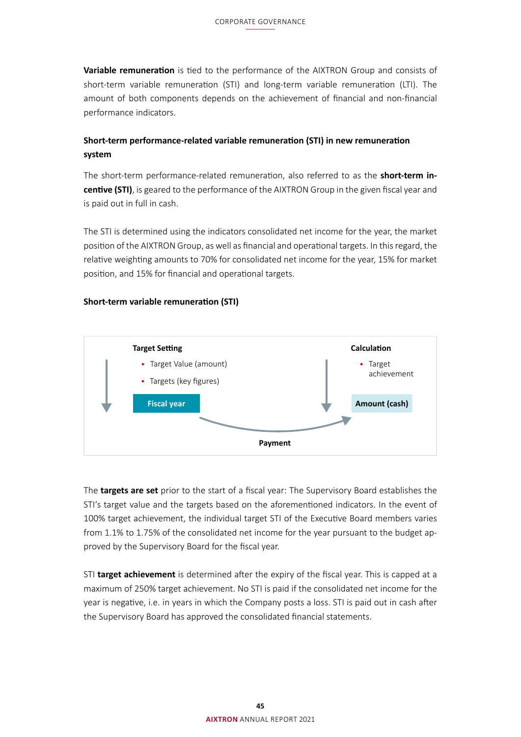**Variable remuneration** is tied to the performance of the AIXTRON Group and consists of short-term variable remuneration (STI) and long-term variable remuneration (LTI). The amount of both components depends on the achievement of financial and non-financial performance indicators.

# **Short-term performance-related variable remuneration (STI) in new remuneration system**

The short-term performance-related remuneration, also referred to as the **short-term incentive (STI)**, is geared to the performance of the AIXTRON Group in the given fiscal year and is paid out in full in cash.

The STI is determined using the indicators consolidated net income for the year, the market position of the AIXTRON Group, as well as financial and operational targets. In this regard, the relative weighting amounts to 70% for consolidated net income for the year, 15% for market position, and 15% for financial and operational targets.

### **Short-term variable remuneration (STI)**



The **targets are set** prior to the start of a fiscal year: The Supervisory Board establishes the STI's target value and the targets based on the aforementioned indicators. In the event of 100% target achievement, the individual target STI of the Executive Board members varies from 1.1% to 1.75% of the consolidated net income for the year pursuant to the budget approved by the Supervisory Board for the fiscal year.

STI **target achievement** is determined after the expiry of the fiscal year. This is capped at a maximum of 250% target achievement. No STI is paid if the consolidated net income for the year is negative, i.e. in years in which the Company posts a loss. STI is paid out in cash after the Supervisory Board has approved the consolidated financial statements.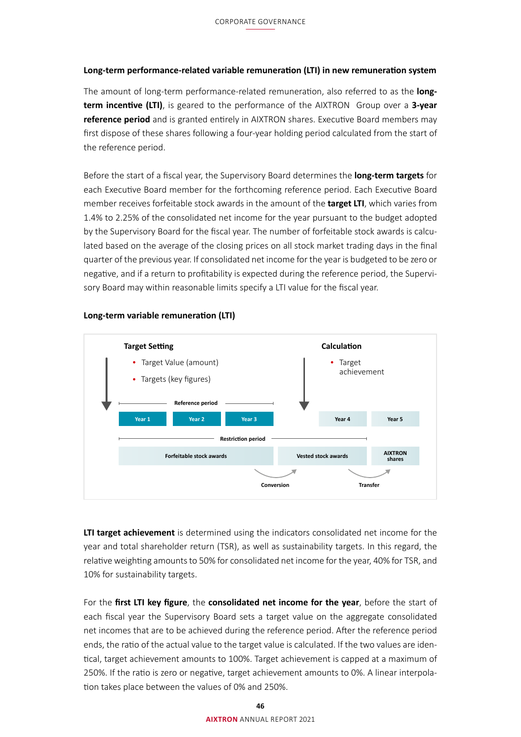# **Long-term performance-related variable remuneration (LTI) in new remuneration system**

The amount of long-term performance-related remuneration, also referred to as the **longterm incentive (LTI)**, is geared to the performance of the AIXTRON Group over a **3-year reference period** and is granted entirely in AIXTRON shares. Executive Board members may first dispose of these shares following a four-year holding period calculated from the start of the reference period.

Before the start of a fiscal year, the Supervisory Board determines the **long-term targets** for each Executive Board member for the forthcoming reference period. Each Executive Board member receives forfeitable stock awards in the amount of the **target LTI**, which varies from 1.4% to 2.25% of the consolidated net income for the year pursuant to the budget adopted by the Supervisory Board for the fiscal year. The number of forfeitable stock awards is calculated based on the average of the closing prices on all stock market trading days in the final quarter of the previous year. If consolidated net income for the year is budgeted to be zero or negative, and if a return to profitability is expected during the reference period, the Supervisory Board may within reasonable limits specify a LTI value for the fiscal year.



### **Long-term variable remuneration (LTI)**

**LTI target achievement** is determined using the indicators consolidated net income for the year and total shareholder return (TSR), as well as sustainability targets. In this regard, the relative weighting amounts to 50% for consolidated net income for the year, 40% for TSR, and 10% for sustainability targets.

For the **first LTI key figure**, the **consolidated net income for the year**, before the start of each fiscal year the Supervisory Board sets a target value on the aggregate consolidated net incomes that are to be achieved during the reference period. After the reference period ends, the ratio of the actual value to the target value is calculated. If the two values are identical, target achievement amounts to 100%. Target achievement is capped at a maximum of 250%. If the ratio is zero or negative, target achievement amounts to 0%. A linear interpolation takes place between the values of 0% and 250%.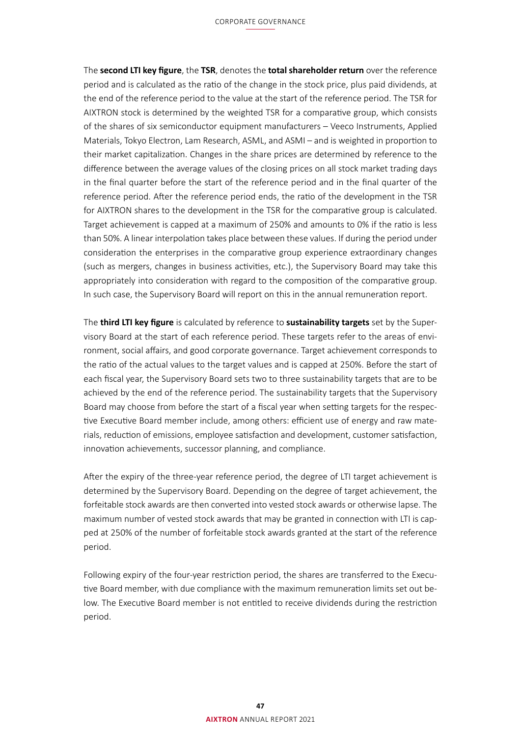#### CORPORATE GOVERNANCE

The **second LTI key figure**, the **TSR**, denotes the **total shareholder return** over the reference period and is calculated as the ratio of the change in the stock price, plus paid dividends, at the end of the reference period to the value at the start of the reference period. The TSR for AIXTRON stock is determined by the weighted TSR for a comparative group, which consists of the shares of six semiconductor equipment manufacturers – Veeco Instruments, Applied Materials, Tokyo Electron, Lam Research, ASML, and ASMI – and is weighted in proportion to their market capitalization. Changes in the share prices are determined by reference to the difference between the average values of the closing prices on all stock market trading days in the final quarter before the start of the reference period and in the final quarter of the reference period. After the reference period ends, the ratio of the development in the TSR for AIXTRON shares to the development in the TSR for the comparative group is calculated. Target achievement is capped at a maximum of 250% and amounts to 0% if the ratio is less than 50%. A linear interpolation takes place between these values. If during the period under consideration the enterprises in the comparative group experience extraordinary changes (such as mergers, changes in business activities, etc.), the Supervisory Board may take this appropriately into consideration with regard to the composition of the comparative group. In such case, the Supervisory Board will report on this in the annual remuneration report.

The **third LTI key figure** is calculated by reference to **sustainability targets** set by the Supervisory Board at the start of each reference period. These targets refer to the areas of environment, social affairs, and good corporate governance. Target achievement corresponds to the ratio of the actual values to the target values and is capped at 250%. Before the start of each fiscal year, the Supervisory Board sets two to three sustainability targets that are to be achieved by the end of the reference period. The sustainability targets that the Supervisory Board may choose from before the start of a fiscal year when setting targets for the respective Executive Board member include, among others: efficient use of energy and raw materials, reduction of emissions, employee satisfaction and development, customer satisfaction, innovation achievements, successor planning, and compliance.

After the expiry of the three-year reference period, the degree of LTI target achievement is determined by the Supervisory Board. Depending on the degree of target achievement, the forfeitable stock awards are then converted into vested stock awards or otherwise lapse. The maximum number of vested stock awards that may be granted in connection with LTI is capped at 250% of the number of forfeitable stock awards granted at the start of the reference period.

Following expiry of the four-year restriction period, the shares are transferred to the Executive Board member, with due compliance with the maximum remuneration limits set out below. The Executive Board member is not entitled to receive dividends during the restriction period.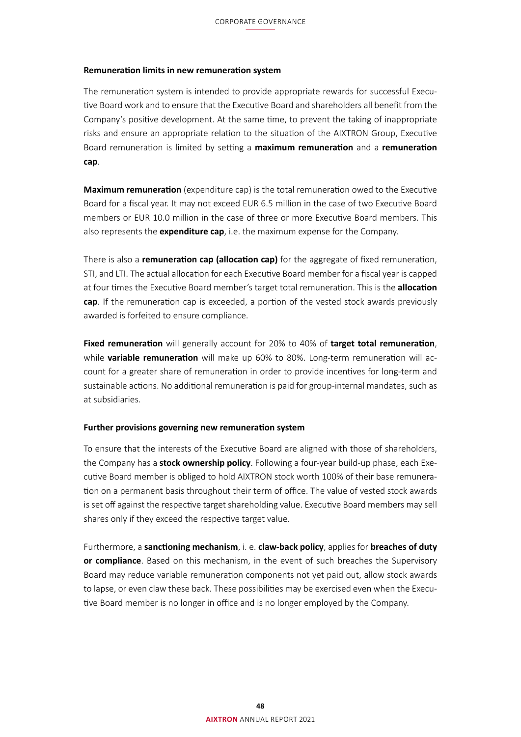#### **Remuneration limits in new remuneration system**

The remuneration system is intended to provide appropriate rewards for successful Executive Board work and to ensure that the Executive Board and shareholders all benefit from the Company's positive development. At the same time, to prevent the taking of inappropriate risks and ensure an appropriate relation to the situation of the AIXTRON Group, Executive Board remuneration is limited by setting a **maximum remuneration** and a **remuneration cap**.

**Maximum remuneration** (expenditure cap) is the total remuneration owed to the Executive Board for a fiscal year. It may not exceed EUR 6.5 million in the case of two Executive Board members or EUR 10.0 million in the case of three or more Executive Board members. This also represents the **expenditure cap**, i.e. the maximum expense for the Company.

There is also a **remuneration cap (allocation cap)** for the aggregate of fixed remuneration, STI, and LTI. The actual allocation for each Executive Board member for a fiscal year is capped at four times the Executive Board member's target total remuneration. This is the **allocation cap**. If the remuneration cap is exceeded, a portion of the vested stock awards previously awarded is forfeited to ensure compliance.

**Fixed remuneration** will generally account for 20% to 40% of **target total remuneration**, while **variable remuneration** will make up 60% to 80%. Long-term remuneration will account for a greater share of remuneration in order to provide incentives for long-term and sustainable actions. No additional remuneration is paid for group-internal mandates, such as at subsidiaries.

## **Further provisions governing new remuneration system**

To ensure that the interests of the Executive Board are aligned with those of shareholders, the Company has a **stock ownership policy**. Following a four-year build-up phase, each Executive Board member is obliged to hold AIXTRON stock worth 100% of their base remuneration on a permanent basis throughout their term of office. The value of vested stock awards is set off against the respective target shareholding value. Executive Board members may sell shares only if they exceed the respective target value.

Furthermore, a **sanctioning mechanism**, i. e. **claw-back policy**, applies for **breaches of duty or compliance**. Based on this mechanism, in the event of such breaches the Supervisory Board may reduce variable remuneration components not yet paid out, allow stock awards to lapse, or even claw these back. These possibilities may be exercised even when the Executive Board member is no longer in office and is no longer employed by the Company.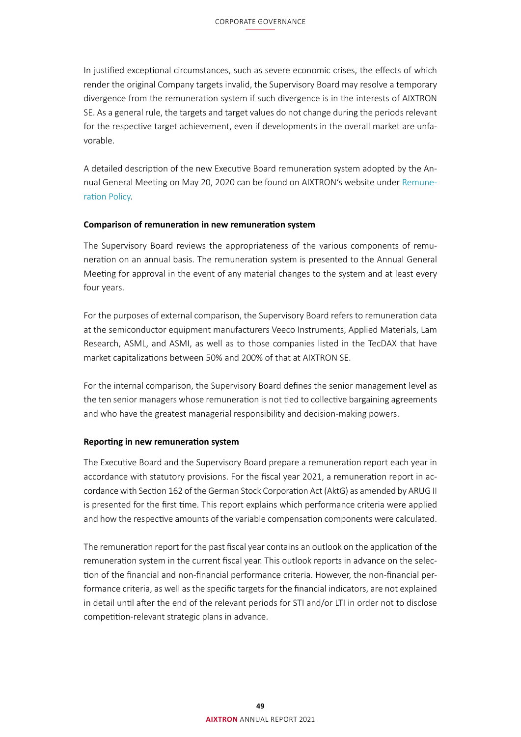In justified exceptional circumstances, such as severe economic crises, the effects of which render the original Company targets invalid, the Supervisory Board may resolve a temporary divergence from the remuneration system if such divergence is in the interests of AIXTRON SE. As a general rule, the targets and target values do not change during the periods relevant for the respective target achievement, even if developments in the overall market are unfavorable.

A detailed description of the new Executive Board remuneration system adopted by the Annual General Meeting on May 20, 2020 can be found on AIXTRON's website under [Remune](https://www.aixtron.com/en/investors/corporate-governance/remuneration-policy)[ration Policy.](https://www.aixtron.com/en/investors/corporate-governance/remuneration-policy)

## **Comparison of remuneration in new remuneration system**

The Supervisory Board reviews the appropriateness of the various components of remuneration on an annual basis. The remuneration system is presented to the Annual General Meeting for approval in the event of any material changes to the system and at least every four years.

For the purposes of external comparison, the Supervisory Board refers to remuneration data at the semiconductor equipment manufacturers Veeco Instruments, Applied Materials, Lam Research, ASML, and ASMI, as well as to those companies listed in the TecDAX that have market capitalizations between 50% and 200% of that at AIXTRON SE.

For the internal comparison, the Supervisory Board defines the senior management level as the ten senior managers whose remuneration is not tied to collective bargaining agreements and who have the greatest managerial responsibility and decision-making powers.

### **Reporting in new remuneration system**

The Executive Board and the Supervisory Board prepare a remuneration report each year in accordance with statutory provisions. For the fiscal year 2021, a remuneration report in accordance with Section 162 of the German Stock Corporation Act (AktG) as amended by ARUG II is presented for the first time. This report explains which performance criteria were applied and how the respective amounts of the variable compensation components were calculated.

The remuneration report for the past fiscal year contains an outlook on the application of the remuneration system in the current fiscal year. This outlook reports in advance on the selection of the financial and non-financial performance criteria. However, the non-financial performance criteria, as well as the specific targets for the financial indicators, are not explained in detail until after the end of the relevant periods for STI and/or LTI in order not to disclose competition-relevant strategic plans in advance.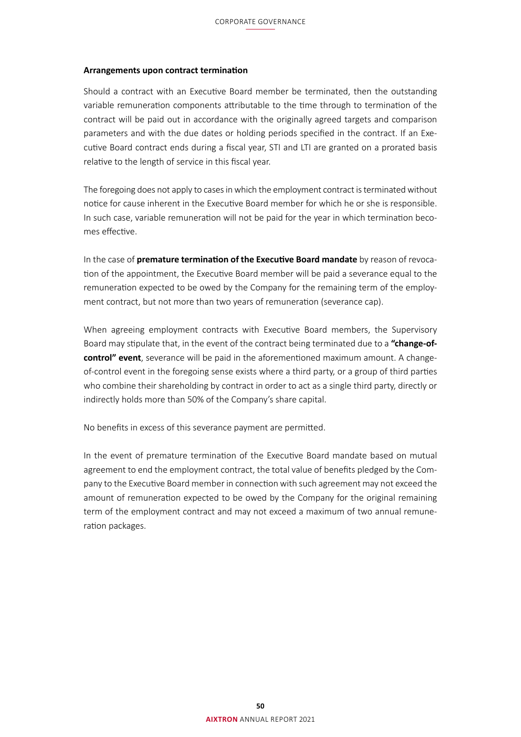### <span id="page-7-0"></span>**Arrangements upon contract termination**

Should a contract with an Executive Board member be terminated, then the outstanding variable remuneration components attributable to the time through to termination of the contract will be paid out in accordance with the originally agreed targets and comparison parameters and with the due dates or holding periods specified in the contract. If an Executive Board contract ends during a fiscal year, STI and LTI are granted on a prorated basis relative to the length of service in this fiscal year.

The foregoing does not apply to cases in which the employment contract is terminated without notice for cause inherent in the Executive Board member for which he or she is responsible. In such case, variable remuneration will not be paid for the year in which termination becomes effective.

In the case of **premature termination of the Executive Board mandate** by reason of revocation of the appointment, the Executive Board member will be paid a severance equal to the remuneration expected to be owed by the Company for the remaining term of the employment contract, but not more than two years of remuneration (severance cap).

When agreeing employment contracts with Executive Board members, the Supervisory Board may stipulate that, in the event of the contract being terminated due to a **"change-ofcontrol" event**, severance will be paid in the aforementioned maximum amount. A changeof-control event in the foregoing sense exists where a third party, or a group of third parties who combine their shareholding by contract in order to act as a single third party, directly or indirectly holds more than 50% of the Company's share capital.

No benefits in excess of this severance payment are permitted.

In the event of premature termination of the Executive Board mandate based on mutual agreement to end the employment contract, the total value of benefits pledged by the Company to the Executive Board member in connection with such agreement may not exceed the amount of remuneration expected to be owed by the Company for the original remaining term of the employment contract and may not exceed a maximum of two annual remuneration packages.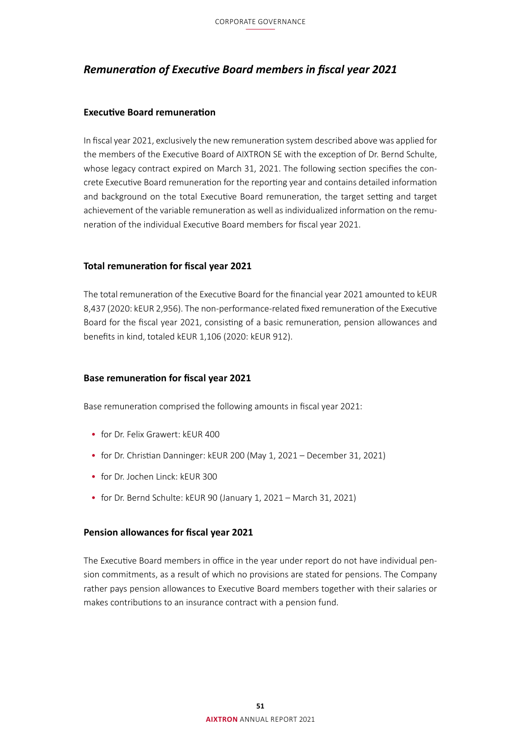# *Remuneration of Executive Board members in fiscal year 2021*

# **Executive Board remuneration**

In fiscal year 2021, exclusively the new remuneration system described above was applied for the members of the Executive Board of AIXTRON SE with the exception of Dr. Bernd Schulte, whose legacy contract expired on March 31, 2021. The following section specifies the concrete Executive Board remuneration for the reporting year and contains detailed information and background on the total Executive Board remuneration, the target setting and target achievement of the variable remuneration as well as individualized information on the remuneration of the individual Executive Board members for fiscal year 2021.

# **Total remuneration for fiscal year 2021**

The total remuneration of the Executive Board for the financial year 2021 amounted to kEUR 8,437 (2020: kEUR 2,956). The non-performance-related fixed remuneration of the Executive Board for the fiscal year 2021, consisting of a basic remuneration, pension allowances and benefits in kind, totaled kEUR 1,106 (2020: kEUR 912).

## **Base remuneration for fiscal year 2021**

Base remuneration comprised the following amounts in fiscal year 2021:

- for Dr. Felix Grawert: kEUR 400
- for Dr. Christian Danninger: kEUR 200 (May 1, 2021 December 31, 2021)
- for Dr. Jochen Linck: kEUR 300
- for Dr. Bernd Schulte: kEUR 90 (January 1, 2021 March 31, 2021)

## **Pension allowances for fiscal year 2021**

The Executive Board members in office in the year under report do not have individual pension commitments, as a result of which no provisions are stated for pensions. The Company rather pays pension allowances to Executive Board members together with their salaries or makes contributions to an insurance contract with a pension fund.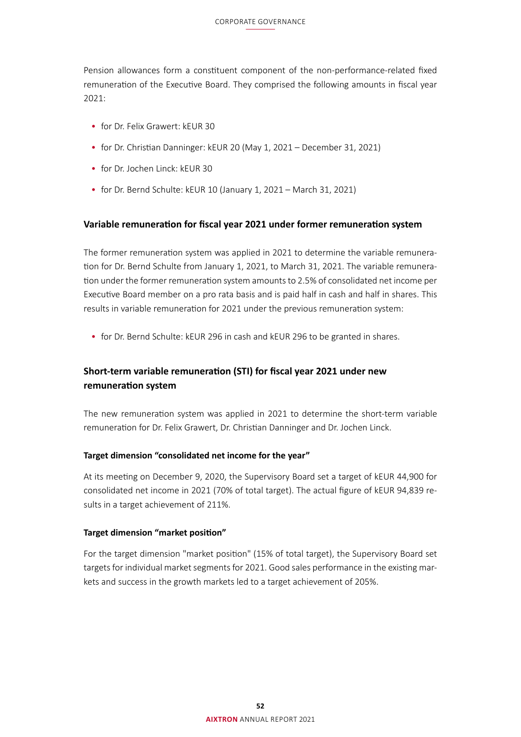Pension allowances form a constituent component of the non-performance-related fixed remuneration of the Executive Board. They comprised the following amounts in fiscal year 2021:

- for Dr. Felix Grawert: kEUR 30
- for Dr. Christian Danninger: kEUR 20 (May 1, 2021 December 31, 2021)
- for Dr. Jochen Linck: kEUR 30
- for Dr. Bernd Schulte: kEUR 10 (January 1, 2021 March 31, 2021)

# **Variable remuneration for fiscal year 2021 under former remuneration system**

The former remuneration system was applied in 2021 to determine the variable remuneration for Dr. Bernd Schulte from January 1, 2021, to March 31, 2021. The variable remuneration under the former remuneration system amounts to 2.5% of consolidated net income per Executive Board member on a pro rata basis and is paid half in cash and half in shares. This results in variable remuneration for 2021 under the previous remuneration system:

• for Dr. Bernd Schulte: kEUR 296 in cash and kEUR 296 to be granted in shares.

# **Short-term variable remuneration (STI) for fiscal year 2021 under new remuneration system**

The new remuneration system was applied in 2021 to determine the short-term variable remuneration for Dr. Felix Grawert, Dr. Christian Danninger and Dr. Jochen Linck.

### **Target dimension "consolidated net income for the year"**

At its meeting on December 9, 2020, the Supervisory Board set a target of kEUR 44,900 for consolidated net income in 2021 (70% of total target). The actual figure of kEUR 94,839 results in a target achievement of 211%.

### **Target dimension "market position"**

For the target dimension "market position" (15% of total target), the Supervisory Board set targets for individual market segments for 2021. Good sales performance in the existing markets and success in the growth markets led to a target achievement of 205%.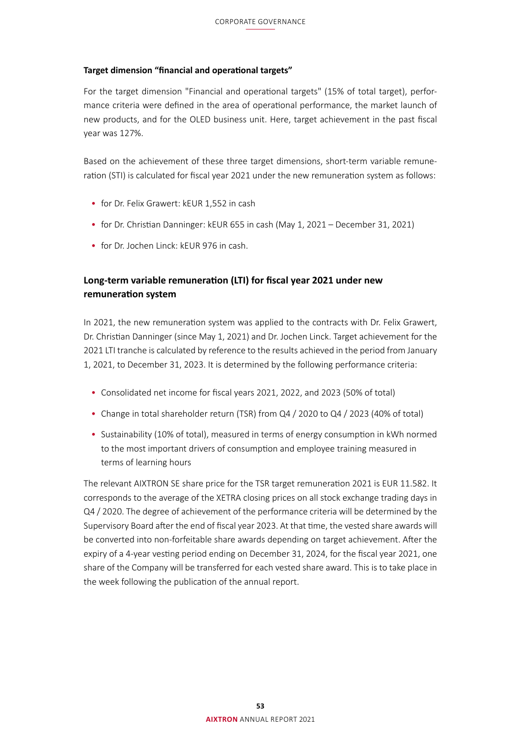# **Target dimension "financial and operational targets"**

For the target dimension "Financial and operational targets" (15% of total target), performance criteria were defined in the area of operational performance, the market launch of new products, and for the OLED business unit. Here, target achievement in the past fiscal year was 127%.

Based on the achievement of these three target dimensions, short-term variable remuneration (STI) is calculated for fiscal year 2021 under the new remuneration system as follows:

- for Dr. Felix Grawert: kEUR 1,552 in cash
- for Dr. Christian Danninger: kEUR 655 in cash (May 1, 2021 December 31, 2021)
- for Dr. Jochen Linck: kEUR 976 in cash.

# **Long-term variable remuneration (LTI) for fiscal year 2021 under new remuneration system**

In 2021, the new remuneration system was applied to the contracts with Dr. Felix Grawert, Dr. Christian Danninger (since May 1, 2021) and Dr. Jochen Linck. Target achievement for the 2021 LTI tranche is calculated by reference to the results achieved in the period from January 1, 2021, to December 31, 2023. It is determined by the following performance criteria:

- Consolidated net income for fiscal years 2021, 2022, and 2023 (50% of total)
- Change in total shareholder return (TSR) from Q4 / 2020 to Q4 / 2023 (40% of total)
- Sustainability (10% of total), measured in terms of energy consumption in kWh normed to the most important drivers of consumption and employee training measured in terms of learning hours

The relevant AIXTRON SE share price for the TSR target remuneration 2021 is EUR 11.582. It corresponds to the average of the XETRA closing prices on all stock exchange trading days in Q4 / 2020. The degree of achievement of the performance criteria will be determined by the Supervisory Board after the end of fiscal year 2023. At that time, the vested share awards will be converted into non-forfeitable share awards depending on target achievement. After the expiry of a 4-year vesting period ending on December 31, 2024, for the fiscal year 2021, one share of the Company will be transferred for each vested share award. This is to take place in the week following the publication of the annual report.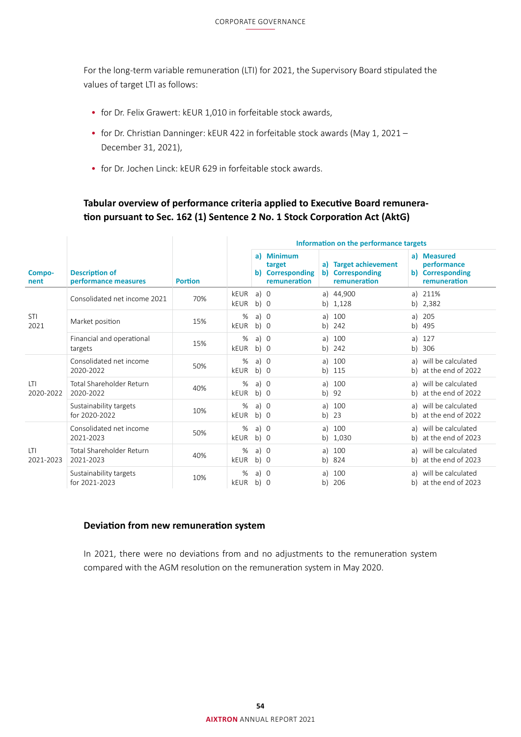For the long-term variable remuneration (LTI) for 2021, the Supervisory Board stipulated the values of target LTI as follows:

- for Dr. Felix Grawert: kEUR 1,010 in forfeitable stock awards,
- for Dr. Christian Danninger: kEUR 422 in forfeitable stock awards (May 1, 2021 December 31, 2021),
- for Dr. Jochen Linck: kEUR 629 in forfeitable stock awards.

# **Tabular overview of performance criteria applied to Executive Board remuneration pursuant to Sec. 162 (1) Sentence 2 No. 1 Stock Corporation Act (AktG)**

|                         |                                               |                | Information on the performance targets |                       |                                                          |          |                                                           |          |                                                                |
|-------------------------|-----------------------------------------------|----------------|----------------------------------------|-----------------------|----------------------------------------------------------|----------|-----------------------------------------------------------|----------|----------------------------------------------------------------|
| Compo-<br>nent          | <b>Description of</b><br>performance measures | <b>Portion</b> |                                        |                       | a) Minimum<br>target<br>b) Corresponding<br>remuneration |          | a) Target achievement<br>b) Corresponding<br>remuneration |          | a) Measured<br>performance<br>b) Corresponding<br>remuneration |
|                         | Consolidated net income 2021                  | 70%            | keur<br>keur                           | a) 0<br>$b)$ 0        |                                                          |          | a) 44,900<br>b) 1,128                                     |          | a) 211%<br>b) 2,382                                            |
| STI<br>2021             | Market position                               | 15%            | %<br>kEUR                              | a) 0<br>$b)$ 0        |                                                          | a)<br>b) | 100<br>242                                                | a)<br>b) | 205<br>495                                                     |
|                         | Financial and operational<br>targets          | 15%            | %<br>keur                              | a) $\theta$<br>$b)$ 0 |                                                          | a)<br>b) | 100<br>242                                                | a)       | - 127<br>b) 306                                                |
|                         | Consolidated net income<br>2020-2022          | 50%            | %<br>kEUR                              | a) 0<br>$b)$ 0        |                                                          | a)<br>b) | 100<br>115                                                |          | a) will be calculated<br>b) at the end of 2022                 |
| LTI<br>2020-2022        | Total Shareholder Return<br>2020-2022         | 40%            | %<br>kEUR                              | a) 0<br>$b)$ 0        |                                                          | a)<br>b) | 100<br>92                                                 |          | a) will be calculated<br>b) at the end of 2022                 |
|                         | Sustainability targets<br>for 2020-2022       | 10%            | %<br>kEUR                              | $a)$ 0<br>$b)$ 0      |                                                          | a)<br>b) | 100<br>23                                                 |          | a) will be calculated<br>b) at the end of 2022                 |
| <b>LTI</b><br>2021-2023 | Consolidated net income<br>2021-2023          | 50%            | %<br>kEUR                              | a) 0<br>b) 0          |                                                          | a)<br>b) | 100<br>1,030                                              |          | a) will be calculated<br>b) at the end of 2023                 |
|                         | Total Shareholder Return<br>2021-2023         | 40%            | %<br>keur                              | a) 0<br>b) 0          |                                                          | a)<br>b) | 100<br>824                                                |          | a) will be calculated<br>b) at the end of 2023                 |
|                         | Sustainability targets<br>for 2021-2023       | 10%            | %<br>keur                              | a) 0<br>$b)$ 0        |                                                          | a)<br>b) | 100<br>206                                                |          | a) will be calculated<br>b) at the end of 2023                 |

# **Deviation from new remuneration system**

In 2021, there were no deviations from and no adjustments to the remuneration system compared with the AGM resolution on the remuneration system in May 2020.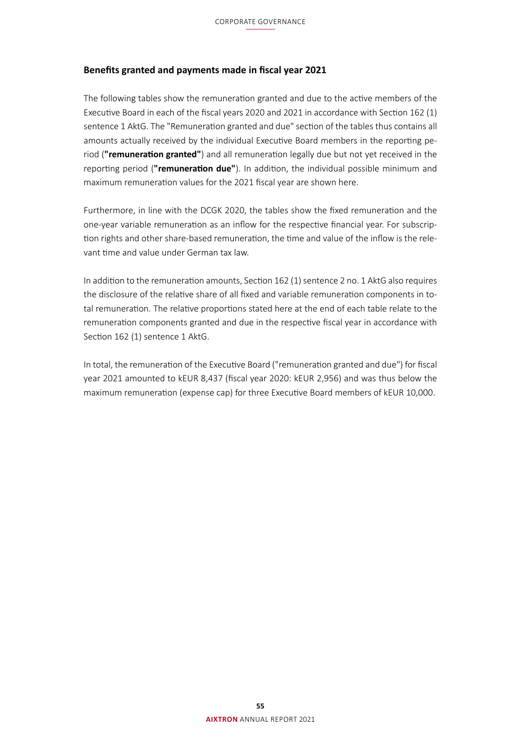# **Benefits granted and payments made in fiscal year 2021**

The following tables show the remuneration granted and due to the active members of the Executive Board in each of the fiscal years 2020 and 2021 in accordance with Section 162 (1) sentence 1 AktG. The "Remuneration granted and due" section of the tables thus contains all amounts actually received by the individual Executive Board members in the reporting period (**"remuneration granted"**) and all remuneration legally due but not yet received in the reporting period (**"remuneration due"**). In addition, the individual possible minimum and maximum remuneration values for the 2021 fiscal year are shown here.

Furthermore, in line with the DCGK 2020, the tables show the fixed remuneration and the one-year variable remuneration as an inflow for the respective financial year. For subscription rights and other share-based remuneration, the time and value of the inflow is the relevant time and value under German tax law.

In addition to the remuneration amounts, Section 162 (1) sentence 2 no. 1 AktG also requires the disclosure of the relative share of all fixed and variable remuneration components in total remuneration. The relative proportions stated here at the end of each table relate to the remuneration components granted and due in the respective fiscal year in accordance with Section 162 (1) sentence 1 AktG.

In total, the remuneration of the Executive Board ("remuneration granted and due") for fiscal year 2021 amounted to kEUR 8,437 (fiscal year 2020: kEUR 2,956) and was thus below the maximum remuneration (expense cap) for three Executive Board members of kEUR 10,000.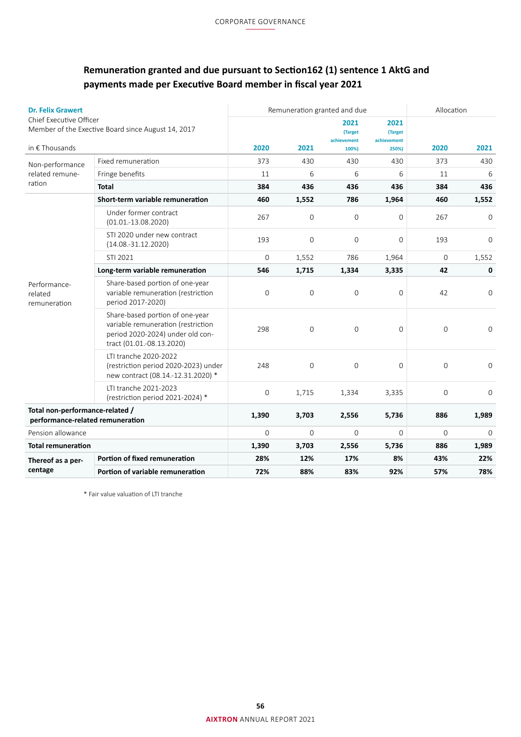# <span id="page-13-0"></span>**Remuneration granted and due pursuant to Section162 (1) sentence 1 AktG and payments made per Executive Board member in fiscal year 2021**

| <b>Dr. Felix Grawert</b>                                            |                                                                                                                                        |                |                     | Remuneration granted and due   |                                | Allocation   |                |  |
|---------------------------------------------------------------------|----------------------------------------------------------------------------------------------------------------------------------------|----------------|---------------------|--------------------------------|--------------------------------|--------------|----------------|--|
| Chief Executive Officer                                             | Member of the Exective Board since August 14, 2017                                                                                     |                |                     | 2021<br>(Target<br>achievement | 2021<br>(Target<br>achievement |              |                |  |
| in $\epsilon$ Thousands                                             |                                                                                                                                        | 2020           | 2021                | 100%)                          | 250%)                          | 2020         | 2021           |  |
| Non-performance                                                     | Fixed remuneration                                                                                                                     | 373            | 430                 | 430                            | 430                            | 373          | 430            |  |
| related remune-                                                     | Fringe benefits                                                                                                                        | 11             | 6                   | 6                              | 6                              | 11           | 6              |  |
| ration                                                              | <b>Total</b>                                                                                                                           | 384            | 436                 | 436                            | 436                            | 384          | 436            |  |
|                                                                     | Short-term variable remuneration                                                                                                       | 460            | 1,552               | 786                            | 1,964                          | 460          | 1,552          |  |
|                                                                     | Under former contract<br>$(01.01.-13.08.2020)$                                                                                         | 267            | $\overline{0}$      | $\mathbf{0}$                   | $\overline{0}$                 | 267          | $\Omega$       |  |
|                                                                     | STI 2020 under new contract<br>$(14.08.-31.12.2020)$                                                                                   | 193            | $\Omega$            | $\mathbf{0}$                   | $\Omega$                       | 193          | $\Omega$       |  |
|                                                                     | STI 2021                                                                                                                               | $\overline{0}$ | 1,552               | 786                            | 1,964                          | $\mathbf 0$  | 1,552          |  |
|                                                                     | Long-term variable remuneration                                                                                                        | 546            | 1,715               | 1,334                          | 3,335                          | 42           | 0              |  |
| Performance-<br>related<br>remuneration                             | Share-based portion of one-year<br>variable remuneration (restriction<br>period 2017-2020)                                             | $\mathbf 0$    | $\mathsf{O}\xspace$ | 0                              | $\overline{0}$                 | 42           | $\mathbf{0}$   |  |
|                                                                     | Share-based portion of one-year<br>variable remuneration (restriction<br>period 2020-2024) under old con-<br>tract (01.01.-08.13.2020) | 298            | $\mathbf{0}$        | $\mathbf{0}$                   | $\mathbf 0$                    | $\mathbf{0}$ | 0              |  |
|                                                                     | LTI tranche 2020-2022<br>(restriction period 2020-2023) under<br>new contract (08.14.-12.31.2020) *                                    | 248            | $\overline{0}$      | $\overline{0}$                 | $\overline{0}$                 | $\mathbf 0$  | $\overline{0}$ |  |
|                                                                     | LTI tranche 2021-2023<br>(restriction period 2021-2024) *                                                                              | $\mathbf 0$    | 1,715               | 1,334                          | 3,335                          | $\mathbf 0$  | 0              |  |
| Total non-performance-related /<br>performance-related remuneration |                                                                                                                                        | 1,390          | 3,703               | 2,556                          | 5,736                          | 886          | 1,989          |  |
| Pension allowance                                                   |                                                                                                                                        | $\Omega$       | $\Omega$            | $\Omega$                       | $\Omega$                       | $\Omega$     | $\Omega$       |  |
| <b>Total remuneration</b>                                           |                                                                                                                                        | 1,390          | 3,703               | 2,556                          | 5,736                          | 886          | 1,989          |  |
| Thereof as a per-                                                   | Portion of fixed remuneration                                                                                                          | 28%            | 12%                 | 17%                            | 8%                             | 43%          | 22%            |  |
| centage                                                             | Portion of variable remuneration                                                                                                       | 72%            | 88%                 | 83%                            | 92%                            | 57%          | 78%            |  |

\* Fair value valuation of LTI tranche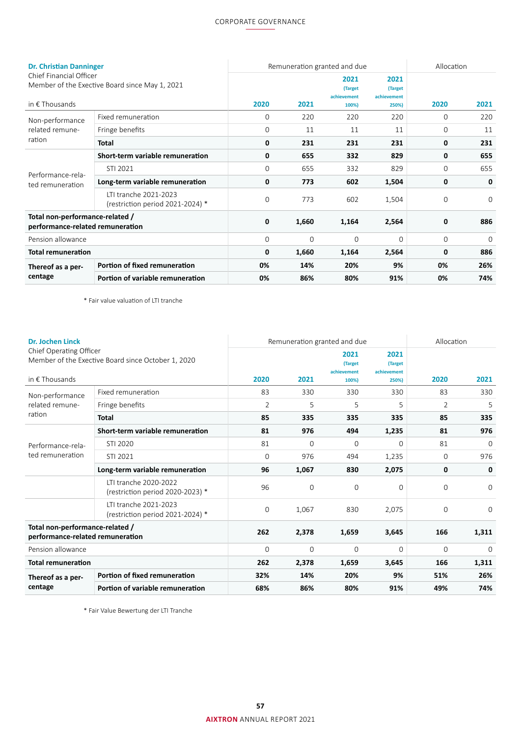# CORPORATE GOVERNANCE

| <b>Dr. Christian Danninger</b>                                                                       |                                                           |             |          | Remuneration granted and due            |                                         | Allocation  |          |
|------------------------------------------------------------------------------------------------------|-----------------------------------------------------------|-------------|----------|-----------------------------------------|-----------------------------------------|-------------|----------|
| Chief Financial Officer<br>Member of the Exective Board since May 1, 2021<br>in $\epsilon$ Thousands |                                                           | 2020        | 2021     | 2021<br>(Target<br>achievement<br>100%) | 2021<br>(Target<br>achievement<br>250%) | 2020        | 2021     |
| Non-performance                                                                                      | Fixed remuneration                                        | $\mathbf 0$ | 220      | 220                                     | 220                                     | $\Omega$    | 220      |
| related remune-                                                                                      | Fringe benefits                                           | $\mathbf 0$ | 11       | 11                                      | 11                                      | $\mathbf 0$ | 11       |
| ration                                                                                               | <b>Total</b>                                              | 0           | 231      | 231                                     | 231                                     | 0           | 231      |
|                                                                                                      | Short-term variable remuneration                          | 0           | 655      | 332                                     | 829                                     | 0           | 655      |
| Performance-rela-                                                                                    | STI 2021                                                  | $\Omega$    | 655      | 332                                     | 829                                     | $\Omega$    | 655      |
| ted remuneration                                                                                     | Long-term variable remuneration                           | 0           | 773      | 602                                     | 1,504                                   | 0           | 0        |
|                                                                                                      | LTI tranche 2021-2023<br>(restriction period 2021-2024) * | $\mathbf 0$ | 773      | 602                                     | 1,504                                   | $\Omega$    | $\Omega$ |
| Total non-performance-related /<br>performance-related remuneration                                  |                                                           | 0           | 1,660    | 1,164                                   | 2,564                                   | 0           | 886      |
| Pension allowance                                                                                    |                                                           | $\mathbf 0$ | $\Omega$ | $\mathbf 0$                             | $\Omega$                                | $\Omega$    | $\Omega$ |
| <b>Total remuneration</b>                                                                            |                                                           | 0           | 1,660    | 1,164                                   | 2,564                                   | 0           | 886      |
| Thereof as a per-                                                                                    | Portion of fixed remuneration                             | 0%          | 14%      | 20%                                     | 9%                                      | 0%          | 26%      |
| centage                                                                                              | Portion of variable remuneration                          | 0%          | 86%      | 80%                                     | 91%                                     | 0%          | 74%      |

\* Fair value valuation of LTI tranche

| <b>Dr. Jochen Linck</b>                                             |                                                           |                | Remuneration granted and due |                                | Allocation                     |                |             |
|---------------------------------------------------------------------|-----------------------------------------------------------|----------------|------------------------------|--------------------------------|--------------------------------|----------------|-------------|
| Chief Operating Officer<br>in $\epsilon$ Thousands                  | Member of the Exective Board since October 1, 2020        |                |                              | 2021<br>(Target<br>achievement | 2021<br>(Target<br>achievement |                |             |
|                                                                     |                                                           | 2020           | 2021                         | 100%)                          | 250%)                          | 2020           | 2021        |
| Non-performance                                                     | Fixed remuneration                                        | 83             | 330                          | 330                            | 330                            | 83             | 330         |
| related remune-                                                     | Fringe benefits                                           | $\overline{2}$ | 5                            | 5                              | 5                              | $\overline{2}$ | 5           |
| ration<br>Performance-rela-                                         | <b>Total</b>                                              | 85             | 335                          | 335                            | 335                            | 85             | 335         |
|                                                                     | Short-term variable remuneration                          | 81             | 976                          | 494                            | 1,235                          | 81             | 976         |
|                                                                     | STI 2020                                                  | 81             | $\mathbf 0$                  | $\Omega$                       | $\Omega$                       | 81             | $\Omega$    |
| ted remuneration                                                    | STI 2021                                                  | $\mathbf 0$    | 976                          | 494                            | 1,235                          | $\Omega$       | 976         |
|                                                                     | Long-term variable remuneration                           | 96             | 1,067                        | 830                            | 2,075                          | 0              | 0           |
|                                                                     | LTI tranche 2020-2022<br>(restriction period 2020-2023) * | 96             | $\overline{0}$               | $\mathbf 0$                    | $\Omega$                       | $\overline{0}$ | $\Omega$    |
|                                                                     | LTI tranche 2021-2023<br>(restriction period 2021-2024) * | $\mathbf 0$    | 1,067                        | 830                            | 2,075                          | $\Omega$       | $\Omega$    |
| Total non-performance-related /<br>performance-related remuneration |                                                           | 262            | 2,378                        | 1,659                          | 3,645                          | 166            | 1,311       |
| Pension allowance                                                   |                                                           | $\overline{0}$ | $\mathbf 0$                  | $\overline{0}$                 | $\overline{0}$                 | $\mathbf 0$    | $\mathbf 0$ |
| <b>Total remuneration</b>                                           |                                                           | 262            | 2,378                        | 1,659                          | 3,645                          | 166            | 1,311       |
| Thereof as a per-                                                   | Portion of fixed remuneration                             | 32%            | 14%                          | 20%                            | 9%                             | 51%            | 26%         |
| centage                                                             | Portion of variable remuneration                          | 68%            | 86%                          | 80%                            | 91%                            | 49%            | 74%         |

\* Fair Value Bewertung der LTI Tranche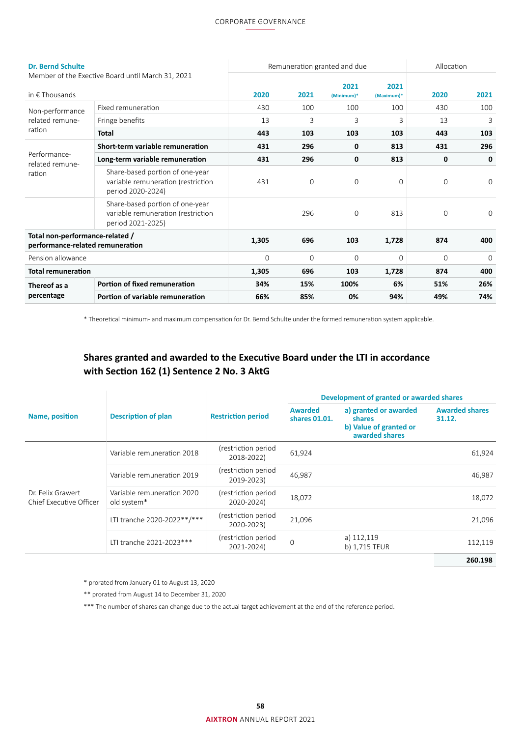### CORPORATE GOVERNANCE

| <b>Dr. Bernd Schulte</b>                                            |                                                                                            |             | Remuneration granted and due | Allocation  |             |             |             |
|---------------------------------------------------------------------|--------------------------------------------------------------------------------------------|-------------|------------------------------|-------------|-------------|-------------|-------------|
|                                                                     | Member of the Exective Board until March 31, 2021                                          |             |                              | 2021        | 2021        |             |             |
| in $\epsilon$ Thousands                                             |                                                                                            | 2020        | 2021                         | (Minimum)*  | (Maximum)*  | 2020        | 2021        |
| Non-performance<br>related remune-<br>ration                        | Fixed remuneration                                                                         | 430         | 100                          | 100         | 100         | 430         | 100         |
|                                                                     | Fringe benefits                                                                            | 13          | 3                            | 3           | 3           | 13          | 3           |
|                                                                     | <b>Total</b>                                                                               | 443         | 103                          | 103         | 103         | 443         | 103         |
|                                                                     | Short-term variable remuneration                                                           | 431         | 296                          | 0           | 813         | 431         | 296         |
| Performance-<br>related remune-                                     | Long-term variable remuneration                                                            | 431         | 296                          | 0           | 813         | 0           | 0           |
| ration                                                              | Share-based portion of one-year<br>variable remuneration (restriction<br>period 2020-2024) | 431         | $\mathbf 0$                  | $\mathbf 0$ | $\mathbf 0$ | $\mathbf 0$ | $\mathbf 0$ |
|                                                                     | Share-based portion of one-year<br>variable remuneration (restriction<br>period 2021-2025) |             | 296                          | $\Omega$    | 813         | $\Omega$    | $\Omega$    |
| Total non-performance-related /<br>performance-related remuneration |                                                                                            | 1,305       | 696                          | 103         | 1,728       | 874         | 400         |
| Pension allowance                                                   |                                                                                            | $\mathbf 0$ | $\Omega$                     | $\Omega$    | $\Omega$    | $\Omega$    | $\Omega$    |
| <b>Total remuneration</b>                                           |                                                                                            | 1,305       | 696                          | 103         | 1,728       | 874         | 400         |
| Thereof as a                                                        | Portion of fixed remuneration                                                              | 34%         | 15%                          | 100%        | 6%          | 51%         | 26%         |
| percentage                                                          | Portion of variable remuneration                                                           | 66%         | 85%                          | 0%          | 94%         | 49%         | 74%         |

\* Theoretical minimum- and maximum compensation for Dr. Bernd Schulte under the formed remuneration system applicable.

# **Shares granted and awarded to the Executive Board under the LTI in accordance with Section 162 (1) Sentence 2 No. 3 AktG**

|                                              |                                           |                                   | Development of granted or awarded shares |                                                                             |                                 |  |  |
|----------------------------------------------|-------------------------------------------|-----------------------------------|------------------------------------------|-----------------------------------------------------------------------------|---------------------------------|--|--|
| Name, position                               | <b>Description of plan</b>                | <b>Restriction period</b>         | <b>Awarded</b><br>shares 01.01.          | a) granted or awarded<br>shares<br>b) Value of granted or<br>awarded shares | <b>Awarded shares</b><br>31.12. |  |  |
|                                              | Variable remuneration 2018                | (restriction period<br>2018-2022) | 61,924                                   |                                                                             | 61,924                          |  |  |
|                                              | Variable remuneration 2019                | (restriction period<br>2019-2023) | 46,987                                   |                                                                             | 46,987                          |  |  |
| Dr. Felix Grawert<br>Chief Executive Officer | Variable remuneration 2020<br>old system* | (restriction period<br>2020-2024) | 18,072                                   |                                                                             | 18,072                          |  |  |
|                                              | LTI tranche 2020-2022 ** /***             | (restriction period<br>2020-2023) | 21,096                                   |                                                                             | 21,096                          |  |  |
|                                              | LTI tranche 2021-2023***                  | (restriction period<br>2021-2024) | $\overline{0}$                           | a) 112,119<br>b) 1,715 TEUR                                                 | 112,119                         |  |  |
|                                              |                                           |                                   |                                          |                                                                             | 260.198                         |  |  |

\* prorated from January 01 to August 13, 2020

\*\* prorated from August 14 to December 31, 2020

\*\*\* The number of shares can change due to the actual target achievement at the end of the reference period.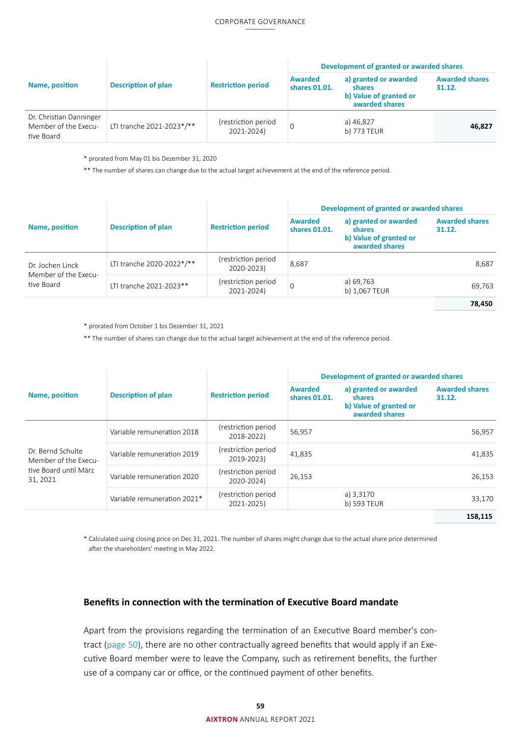|                                                               |                            |                                   | Development of granted or awarded shares |                                                                             |                                 |  |  |
|---------------------------------------------------------------|----------------------------|-----------------------------------|------------------------------------------|-----------------------------------------------------------------------------|---------------------------------|--|--|
| Name, position                                                | <b>Description of plan</b> | <b>Restriction period</b>         | <b>Awarded</b><br>shares 01.01.          | a) granted or awarded<br>shares<br>b) Value of granted or<br>awarded shares | <b>Awarded shares</b><br>31.12. |  |  |
| Dr. Christian Danninger<br>Member of the Execu-<br>tive Board | LTI tranche 2021-2023*/**  | (restriction period<br>2021-2024) |                                          | a) 46,827<br>b) 773 TEUR                                                    | 46,827                          |  |  |

\* prorated from May 01 bis Dezember 31, 2020

\*\* The number of shares can change due to the actual target achievement at the end of the reference period.

|                                                        |                            |                                   | Development of granted or awarded shares |                                                                             |                                 |  |  |
|--------------------------------------------------------|----------------------------|-----------------------------------|------------------------------------------|-----------------------------------------------------------------------------|---------------------------------|--|--|
| Name, position                                         | <b>Description of plan</b> | <b>Restriction period</b>         | <b>Awarded</b><br>shares 01.01.          | a) granted or awarded<br>shares<br>b) Value of granted or<br>awarded shares | <b>Awarded shares</b><br>31.12. |  |  |
| Dr. Jochen Linck<br>Member of the Execu-<br>tive Board | LTI tranche 2020-2022*/**  | (restriction period<br>2020-2023) | 8,687                                    |                                                                             | 8,687                           |  |  |
|                                                        | LTI tranche 2021-2023**    | (restriction period<br>2021-2024) | $\Omega$                                 | a) 69,763<br>b) 1,067 TEUR                                                  | 69,763                          |  |  |
|                                                        |                            |                                   |                                          |                                                                             | 78.450                          |  |  |

\* prorated from October 1 bis Dezember 31, 2021

\*\* The number of shares can change due to the actual target achievement at the end of the reference period.

|                                                                                |                             |                                   | Development of granted or awarded shares |                                                                                    |                                 |  |  |
|--------------------------------------------------------------------------------|-----------------------------|-----------------------------------|------------------------------------------|------------------------------------------------------------------------------------|---------------------------------|--|--|
| Name, position                                                                 | <b>Description of plan</b>  | <b>Restriction period</b>         | <b>Awarded</b><br>shares 01.01.          | a) granted or awarded<br><b>shares</b><br>b) Value of granted or<br>awarded shares | <b>Awarded shares</b><br>31.12. |  |  |
| Dr. Bernd Schulte<br>Member of the Execu-<br>tive Board until März<br>31, 2021 | Variable remuneration 2018  | (restriction period<br>2018-2022) | 56,957                                   |                                                                                    | 56,957                          |  |  |
|                                                                                | Variable remuneration 2019  | (restriction period<br>2019-2023) | 41,835                                   |                                                                                    | 41,835                          |  |  |
|                                                                                | Variable remuneration 2020  | (restriction period<br>2020-2024) | 26,153                                   |                                                                                    | 26,153                          |  |  |
|                                                                                | Variable remuneration 2021* | (restriction period<br>2021-2025) |                                          | a) 3,3170<br>b) 593 TEUR                                                           | 33.170                          |  |  |
|                                                                                |                             |                                   |                                          |                                                                                    | 158,115                         |  |  |

\* Calculated using closing price on Dec 31, 2021. The number of shares might change due to the actual share price determined after the shareholders' meeting in May 2022.

## **Benefits in connection with the termination of Executive Board mandate**

Apart from the provisions regarding the termination of an Executive Board member's contract [\(page 50\)](#page-7-0), there are no other contractually agreed benefits that would apply if an Executive Board member were to leave the Company, such as retirement benefits, the further use of a company car or office, or the continued payment of other benefits.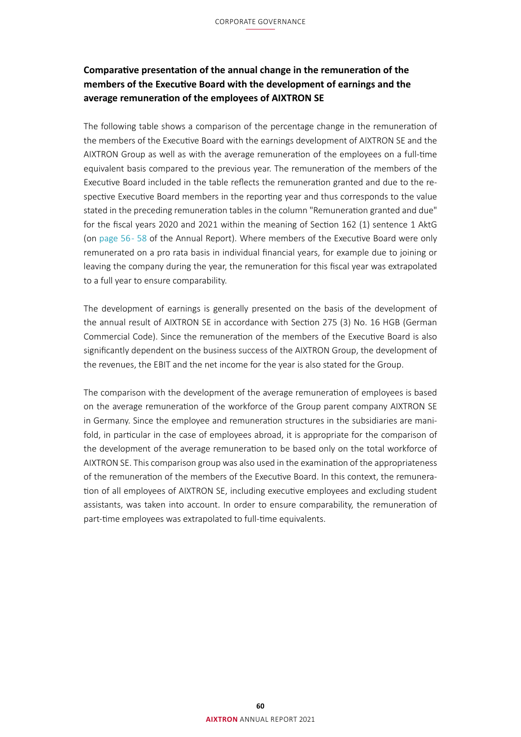# **Comparative presentation of the annual change in the remuneration of the members of the Executive Board with the development of earnings and the average remuneration of the employees of AIXTRON SE**

The following table shows a comparison of the percentage change in the remuneration of the members of the Executive Board with the earnings development of AIXTRON SE and the AIXTRON Group as well as with the average remuneration of the employees on a full-time equivalent basis compared to the previous year. The remuneration of the members of the Executive Board included in the table reflects the remuneration granted and due to the respective Executive Board members in the reporting year and thus corresponds to the value stated in the preceding remuneration tables in the column "Remuneration granted and due" for the fiscal years 2020 and 2021 within the meaning of Section 162 (1) sentence 1 AktG (on [page 56 - 58](#page-13-0) of the Annual Report). Where members of the Executive Board were only remunerated on a pro rata basis in individual financial years, for example due to joining or leaving the company during the year, the remuneration for this fiscal year was extrapolated to a full year to ensure comparability.

The development of earnings is generally presented on the basis of the development of the annual result of AIXTRON SE in accordance with Section 275 (3) No. 16 HGB (German Commercial Code). Since the remuneration of the members of the Executive Board is also significantly dependent on the business success of the AIXTRON Group, the development of the revenues, the EBIT and the net income for the year is also stated for the Group.

The comparison with the development of the average remuneration of employees is based on the average remuneration of the workforce of the Group parent company AIXTRON SE in Germany. Since the employee and remuneration structures in the subsidiaries are manifold, in particular in the case of employees abroad, it is appropriate for the comparison of the development of the average remuneration to be based only on the total workforce of AIXTRON SE. This comparison group was also used in the examination of the appropriateness of the remuneration of the members of the Executive Board. In this context, the remuneration of all employees of AIXTRON SE, including executive employees and excluding student assistants, was taken into account. In order to ensure comparability, the remuneration of part-time employees was extrapolated to full-time equivalents.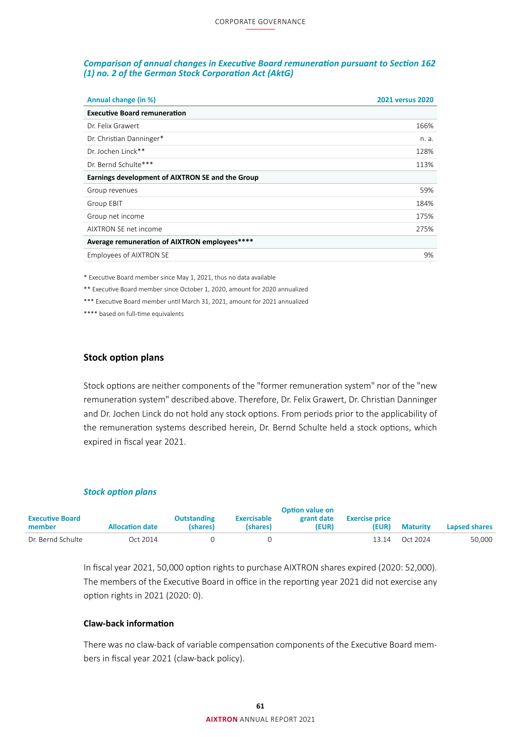#### *Comparison of annual changes in Executive Board remuneration pursuant to Section 162 (1) no. 2 of the German Stock Corporation Act (AktG)*

| Annual change (in %)                             | <b>2021 versus 2020</b> |
|--------------------------------------------------|-------------------------|
| <b>Executive Board remuneration</b>              |                         |
| Dr. Felix Grawert                                | 166%                    |
| Dr. Christian Danninger*                         | n. a.                   |
| Dr. Jochen Linck**                               | 128%                    |
| Dr. Bernd Schulte***                             | 113%                    |
| Earnings development of AIXTRON SE and the Group |                         |
| Group revenues                                   | 59%                     |
| Group EBIT                                       | 184%                    |
| Group net income                                 | 175%                    |
| AIXTRON SE net income                            | 275%                    |
| Average remuneration of AIXTRON employees****    |                         |
| Employees of AIXTRON SE                          | 9%                      |

\* Executive Board member since May 1, 2021, thus no data available

\*\* Executive Board member since October 1, 2020, amount for 2020 annualized

\*\*\* Executive Board member until March 31, 2021, amount for 2021 annualized

\*\*\*\* based on full-time equivalents

#### **Stock option plans**

Stock options are neither components of the "former remuneration system" nor of the "new remuneration system" described above. Therefore, Dr. Felix Grawert, Dr. Christian Danninger and Dr. Jochen Linck do not hold any stock options. From periods prior to the applicability of the remuneration systems described herein, Dr. Bernd Schulte held a stock options, which expired in fiscal year 2021.

#### *Stock option plans*

|                                  |                        |                                |                                | <b>Option value on</b> |                                |                 |               |
|----------------------------------|------------------------|--------------------------------|--------------------------------|------------------------|--------------------------------|-----------------|---------------|
| <b>Executive Board</b><br>member | <b>Allocation date</b> | <b>Outstanding</b><br>(shares) | <b>Exercisable</b><br>(shares) | grant date<br>(EUR)    | <b>Exercise price</b><br>(EUR) | <b>Maturity</b> | Lapsed shares |
| Dr. Bernd Schulte                | Oct 2014               |                                |                                |                        | 13.14                          | Oct 2024        | 50,000        |

In fiscal year 2021, 50,000 option rights to purchase AIXTRON shares expired (2020: 52,000). The members of the Executive Board in office in the reporting year 2021 did not exercise any option rights in 2021 (2020: 0).

#### **Claw-back information**

There was no claw-back of variable compensation components of the Executive Board members in fiscal year 2021 (claw-back policy).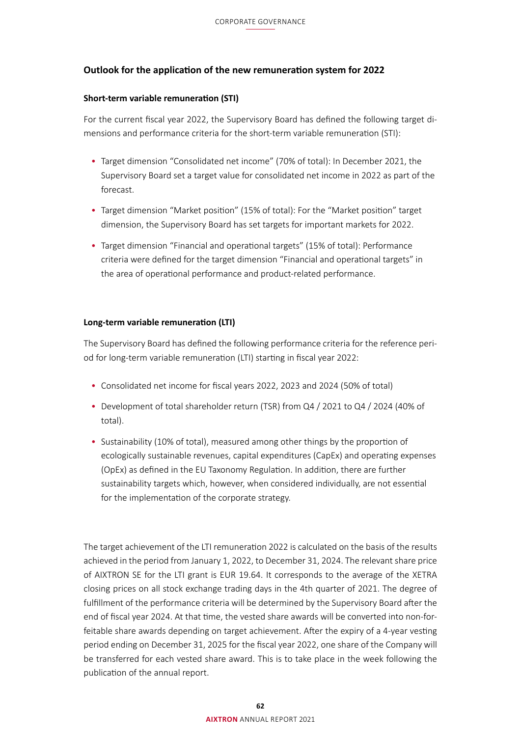# **Outlook for the application of the new remuneration system for 2022**

## **Short-term variable remuneration (STI)**

For the current fiscal year 2022, the Supervisory Board has defined the following target dimensions and performance criteria for the short-term variable remuneration (STI):

- Target dimension "Consolidated net income" (70% of total): In December 2021, the Supervisory Board set a target value for consolidated net income in 2022 as part of the forecast.
- Target dimension "Market position" (15% of total): For the "Market position" target dimension, the Supervisory Board has set targets for important markets for 2022.
- Target dimension "Financial and operational targets" (15% of total): Performance criteria were defined for the target dimension "Financial and operational targets" in the area of operational performance and product-related performance.

# **Long-term variable remuneration (LTI)**

The Supervisory Board has defined the following performance criteria for the reference period for long-term variable remuneration (LTI) starting in fiscal year 2022:

- Consolidated net income for fiscal years 2022, 2023 and 2024 (50% of total)
- Development of total shareholder return (TSR) from Q4 / 2021 to Q4 / 2024 (40% of total).
- Sustainability (10% of total), measured among other things by the proportion of ecologically sustainable revenues, capital expenditures (CapEx) and operating expenses (OpEx) as defined in the EU Taxonomy Regulation. In addition, there are further sustainability targets which, however, when considered individually, are not essential for the implementation of the corporate strategy.

The target achievement of the LTI remuneration 2022 is calculated on the basis of the results achieved in the period from January 1, 2022, to December 31, 2024. The relevant share price of AIXTRON SE for the LTI grant is EUR 19.64. It corresponds to the average of the XETRA closing prices on all stock exchange trading days in the 4th quarter of 2021. The degree of fulfillment of the performance criteria will be determined by the Supervisory Board after the end of fiscal year 2024. At that time, the vested share awards will be converted into non-forfeitable share awards depending on target achievement. After the expiry of a 4-year vesting period ending on December 31, 2025 for the fiscal year 2022, one share of the Company will be transferred for each vested share award. This is to take place in the week following the publication of the annual report.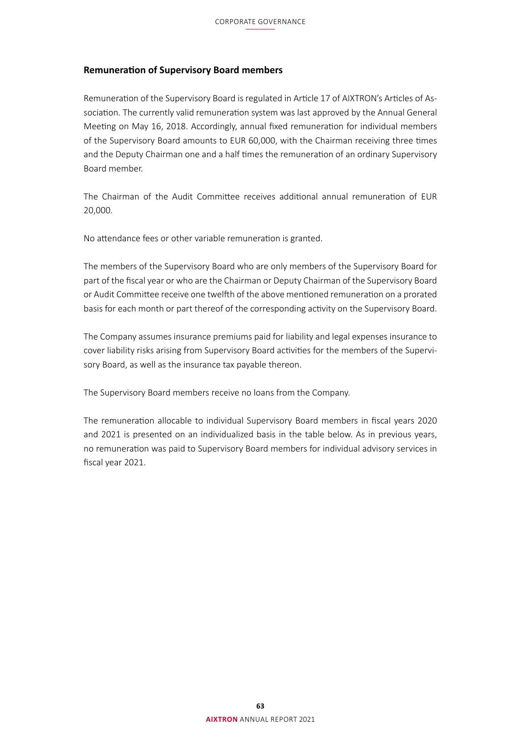# **Remuneration of Supervisory Board members**

Remuneration of the Supervisory Board is regulated in Article 17 of AIXTRON's Articles of Association. The currently valid remuneration system was last approved by the Annual General Meeting on May 16, 2018. Accordingly, annual fixed remuneration for individual members of the Supervisory Board amounts to EUR 60,000, with the Chairman receiving three times and the Deputy Chairman one and a half times the remuneration of an ordinary Supervisory Board member.

The Chairman of the Audit Committee receives additional annual remuneration of EUR 20,000.

No attendance fees or other variable remuneration is granted.

The members of the Supervisory Board who are only members of the Supervisory Board for part of the fiscal year or who are the Chairman or Deputy Chairman of the Supervisory Board or Audit Committee receive one twelfth of the above mentioned remuneration on a prorated basis for each month or part thereof of the corresponding activity on the Supervisory Board.

The Company assumes insurance premiums paid for liability and legal expenses insurance to cover liability risks arising from Supervisory Board activities for the members of the Supervisory Board, as well as the insurance tax payable thereon.

The Supervisory Board members receive no loans from the Company.

The remuneration allocable to individual Supervisory Board members in fiscal years 2020 and 2021 is presented on an individualized basis in the table below. As in previous years, no remuneration was paid to Supervisory Board members for individual advisory services in fiscal year 2021.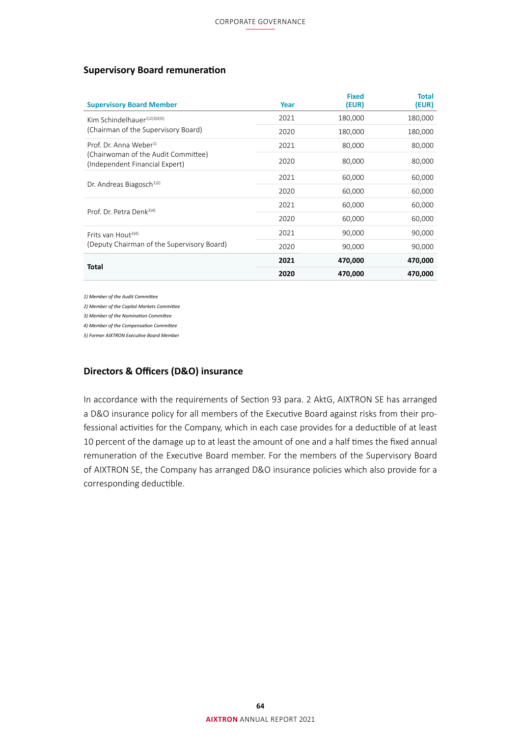# **Supervisory Board remuneration**

| <b>Supervisory Board Member</b>                                       | Year | <b>Fixed</b><br>(EUR) | <b>Total</b><br>(EUR) |
|-----------------------------------------------------------------------|------|-----------------------|-----------------------|
| Kim Schindelhauer $1/2/3$ $(3/4)$                                     | 2021 | 180,000               | 180,000               |
| (Chairman of the Supervisory Board)                                   | 2020 | 180,000               | 180,000               |
| Prof. Dr. Anna Weber <sup>1)</sup>                                    | 2021 | 80,000                | 80,000                |
| (Chairwoman of the Audit Committee)<br>(Independent Financial Expert) | 2020 | 80,000                | 80,000                |
|                                                                       | 2021 | 60,000                | 60,000                |
| Dr. Andreas Biagosch <sup>1)2)</sup>                                  | 2020 | 60,000                | 60,000                |
| Prof. Dr. Petra Denk <sup>3)4)</sup>                                  | 2021 | 60,000                | 60,000                |
|                                                                       | 2020 | 60,000                | 60,000                |
| Frits van Hout <sup>3)4)</sup>                                        | 2021 | 90,000                | 90,000                |
| (Deputy Chairman of the Supervisory Board)                            | 2020 | 90,000                | 90,000                |
| <b>Total</b>                                                          | 2021 | 470,000               | 470,000               |
|                                                                       | 2020 | 470,000               | 470,000               |

*1) Member of the Audit Committee*

*2) Member of the Capital Markets Committee*

*3) Member of the Nomination Committee*

*4) Member of the Compensation Committee*

*5) Former AIXTRON Executive Board Member*

# **Directors & Officers (D&O) insurance**

In accordance with the requirements of Section 93 para. 2 AktG, AIXTRON SE has arranged a D&O insurance policy for all members of the Executive Board against risks from their professional activities for the Company, which in each case provides for a deductible of at least 10 percent of the damage up to at least the amount of one and a half times the fixed annual remuneration of the Executive Board member. For the members of the Supervisory Board of AIXTRON SE, the Company has arranged D&O insurance policies which also provide for a corresponding deductible.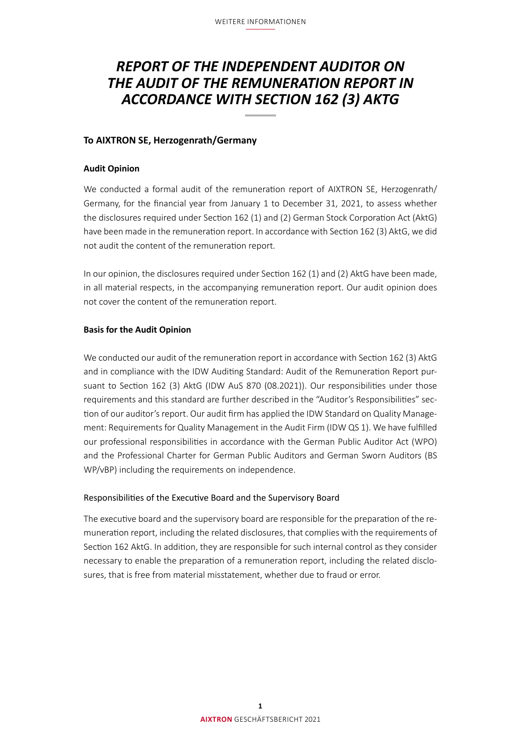# *REPORT OF THE INDEPENDENT AUDITOR ON THE AUDIT OF THE REMUNERATION REPORT IN ACCORDANCE WITH SECTION 162 (3) AKTG*

# **To AIXTRON SE, Herzogenrath/Germany**

# **Audit Opinion**

We conducted a formal audit of the remuneration report of AIXTRON SE, Herzogenrath/ Germany, for the financial year from January 1 to December 31, 2021, to assess whether the disclosures required under Section 162 (1) and (2) German Stock Corporation Act (AktG) have been made in the remuneration report. In accordance with Section 162 (3) AktG, we did not audit the content of the remuneration report.

In our opinion, the disclosures required under Section 162 (1) and (2) AktG have been made, in all material respects, in the accompanying remuneration report. Our audit opinion does not cover the content of the remuneration report.

### **Basis for the Audit Opinion**

We conducted our audit of the remuneration report in accordance with Section 162 (3) AktG and in compliance with the IDW Auditing Standard: Audit of the Remuneration Report pursuant to Section 162 (3) AktG (IDW AuS 870 (08.2021)). Our responsibilities under those requirements and this standard are further described in the "Auditor's Responsibilities" section of our auditor's report. Our audit firm has applied the IDW Standard on Quality Management: Requirements for Quality Management in the Audit Firm (IDW QS 1). We have fulfilled our professional responsibilities in accordance with the German Public Auditor Act (WPO) and the Professional Charter for German Public Auditors and German Sworn Auditors (BS WP/vBP) including the requirements on independence.

### Responsibilities of the Executive Board and the Supervisory Board

The executive board and the supervisory board are responsible for the preparation of the remuneration report, including the related disclosures, that complies with the requirements of Section 162 AktG. In addition, they are responsible for such internal control as they consider necessary to enable the preparation of a remuneration report, including the related disclosures, that is free from material misstatement, whether due to fraud or error.